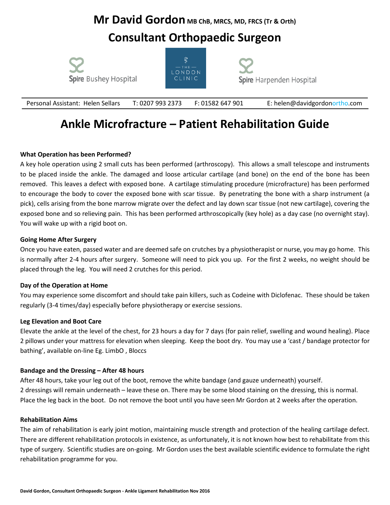### **Mr David Gordon** MB ChB, MRCS, MD, FRCS (Tr & Orth)

### **Consultant Orthopaedic Surgeon**







Personal Assistant: Helen SellarsT: 0207 993 2373 F: 01582 647 901 E: [helen@davidgordonortho.com](mailto:helen@davidgordonortho.com)

# **Ankle Microfracture – Patient Rehabilitation Guide**

#### **What Operation has been Performed?**

A key hole operation using 2 small cuts has been performed (arthroscopy). This allows a small telescope and instruments to be placed inside the ankle. The damaged and loose articular cartilage (and bone) on the end of the bone has been removed. This leaves a defect with exposed bone. A cartilage stimulating procedure (microfracture) has been performed to encourage the body to cover the exposed bone with scar tissue. By penetrating the bone with a sharp instrument (a pick), cells arising from the bone marrow migrate over the defect and lay down scar tissue (not new cartilage), covering the exposed bone and so relieving pain. This has been performed arthroscopically (key hole) as a day case (no overnight stay). You will wake up with a rigid boot on.

#### **Going Home After Surgery**

Once you have eaten, passed water and are deemed safe on crutches by a physiotherapist or nurse, you may go home. This is normally after 2-4 hours after surgery. Someone will need to pick you up. For the first 2 weeks, no weight should be placed through the leg. You will need 2 crutches for this period.

#### **Day of the Operation at Home**

You may experience some discomfort and should take pain killers, such as Codeine with Diclofenac. These should be taken regularly (3-4 times/day) especially before physiotherapy or exercise sessions.

#### **Leg Elevation and Boot Care**

Elevate the ankle at the level of the chest, for 23 hours a day for 7 days (for pain relief, swelling and wound healing). Place 2 pillows under your mattress for elevation when sleeping. Keep the boot dry. You may use a 'cast / bandage protector for bathing', available on-line Eg. LimbO , Bloccs

#### **Bandage and the Dressing – After 48 hours**

After 48 hours, take your leg out of the boot, remove the white bandage (and gauze underneath) yourself. 2 dressings will remain underneath – leave these on. There may be some blood staining on the dressing, this is normal. Place the leg back in the boot. Do not remove the boot until you have seen Mr Gordon at 2 weeks after the operation.

#### **Rehabilitation Aims**

The aim of rehabilitation is early joint motion, maintaining muscle strength and protection of the healing cartilage defect. There are different rehabilitation protocols in existence, as unfortunately, it is not known how best to rehabilitate from this type of surgery. Scientific studies are on-going. Mr Gordon uses the best available scientific evidence to formulate the right rehabilitation programme for you.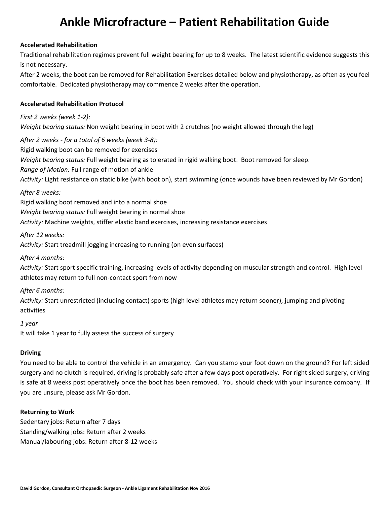# **Ankle Microfracture – Patient Rehabilitation Guide**

#### **Accelerated Rehabilitation**

Traditional rehabilitation regimes prevent full weight bearing for up to 8 weeks. The latest scientific evidence suggests this is not necessary.

After 2 weeks, the boot can be removed for Rehabilitation Exercises detailed below and physiotherapy, as often as you feel comfortable. Dedicated physiotherapy may commence 2 weeks after the operation.

#### **Accelerated Rehabilitation Protocol**

*First 2 weeks (week 1-2): Weight bearing status:* Non weight bearing in boot with 2 crutches (no weight allowed through the leg)

*After 2 weeks - for a total of 6 weeks (week 3-8):* Rigid walking boot can be removed for exercises *Weight bearing status:* Full weight bearing as tolerated in rigid walking boot. Boot removed for sleep. *Range of Motion:* Full range of motion of ankle *Activity:* Light resistance on static bike (with boot on), start swimming (once wounds have been reviewed by Mr Gordon)

#### *After 8 weeks:*

Rigid walking boot removed and into a normal shoe *Weight bearing status:* Full weight bearing in normal shoe *Activity:* Machine weights, stiffer elastic band exercises, increasing resistance exercises

*After 12 weeks:*

*Activity:* Start treadmill jogging increasing to running (on even surfaces)

#### *After 4 months:*

*Activity:* Start sport specific training, increasing levels of activity depending on muscular strength and control. High level athletes may return to full non-contact sport from now

#### *After 6 months:*

*Activity:* Start unrestricted (including contact) sports (high level athletes may return sooner), jumping and pivoting activities

#### *1 year*

It will take 1 year to fully assess the success of surgery

#### **Driving**

You need to be able to control the vehicle in an emergency. Can you stamp your foot down on the ground? For left sided surgery and no clutch is required, driving is probably safe after a few days post operatively. For right sided surgery, driving is safe at 8 weeks post operatively once the boot has been removed. You should check with your insurance company. If you are unsure, please ask Mr Gordon.

#### **Returning to Work**

Sedentary jobs: Return after 7 days Standing/walking jobs: Return after 2 weeks Manual/labouring jobs: Return after 8-12 weeks